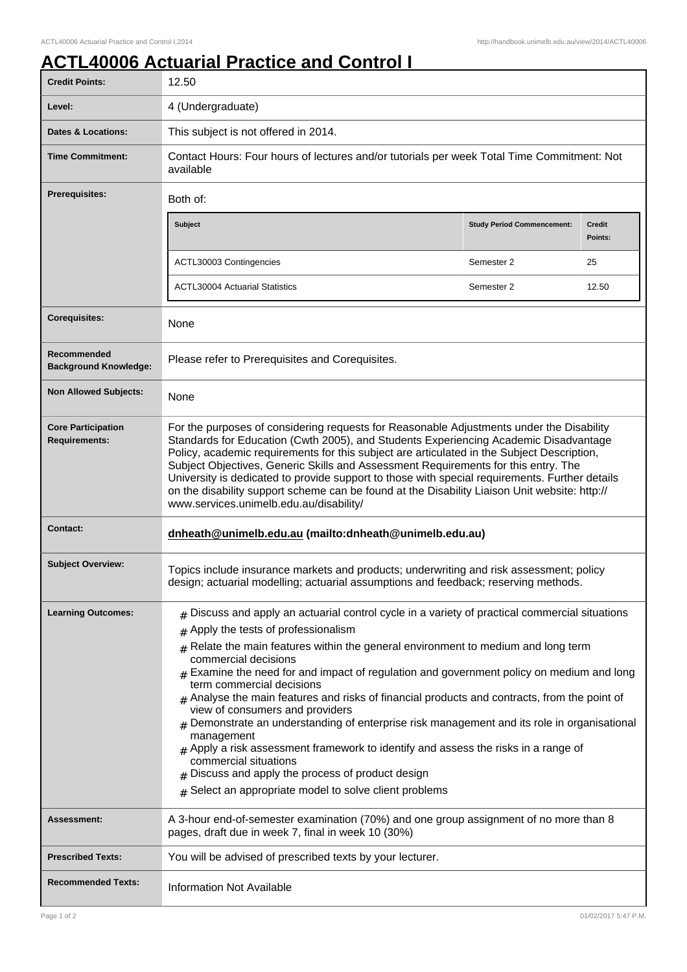## **ACTL40006 Actuarial Practice and Control I**

| <b>Credit Points:</b>                             | 12.50                                                                                                                                                                                                                                                                                                                                                                                                                                                                                                                                                                                                                                                                                                                                                                                                                                                                     |                                   |                          |
|---------------------------------------------------|---------------------------------------------------------------------------------------------------------------------------------------------------------------------------------------------------------------------------------------------------------------------------------------------------------------------------------------------------------------------------------------------------------------------------------------------------------------------------------------------------------------------------------------------------------------------------------------------------------------------------------------------------------------------------------------------------------------------------------------------------------------------------------------------------------------------------------------------------------------------------|-----------------------------------|--------------------------|
| Level:                                            | 4 (Undergraduate)                                                                                                                                                                                                                                                                                                                                                                                                                                                                                                                                                                                                                                                                                                                                                                                                                                                         |                                   |                          |
| <b>Dates &amp; Locations:</b>                     | This subject is not offered in 2014.                                                                                                                                                                                                                                                                                                                                                                                                                                                                                                                                                                                                                                                                                                                                                                                                                                      |                                   |                          |
| <b>Time Commitment:</b>                           | Contact Hours: Four hours of lectures and/or tutorials per week Total Time Commitment: Not<br>available                                                                                                                                                                                                                                                                                                                                                                                                                                                                                                                                                                                                                                                                                                                                                                   |                                   |                          |
| <b>Prerequisites:</b>                             | Both of:                                                                                                                                                                                                                                                                                                                                                                                                                                                                                                                                                                                                                                                                                                                                                                                                                                                                  |                                   |                          |
|                                                   | Subject                                                                                                                                                                                                                                                                                                                                                                                                                                                                                                                                                                                                                                                                                                                                                                                                                                                                   | <b>Study Period Commencement:</b> | <b>Credit</b><br>Points: |
|                                                   | ACTL30003 Contingencies                                                                                                                                                                                                                                                                                                                                                                                                                                                                                                                                                                                                                                                                                                                                                                                                                                                   | Semester 2                        | 25                       |
|                                                   | <b>ACTL30004 Actuarial Statistics</b>                                                                                                                                                                                                                                                                                                                                                                                                                                                                                                                                                                                                                                                                                                                                                                                                                                     | Semester 2                        | 12.50                    |
| <b>Corequisites:</b>                              | None                                                                                                                                                                                                                                                                                                                                                                                                                                                                                                                                                                                                                                                                                                                                                                                                                                                                      |                                   |                          |
| Recommended<br><b>Background Knowledge:</b>       | Please refer to Prerequisites and Corequisites.                                                                                                                                                                                                                                                                                                                                                                                                                                                                                                                                                                                                                                                                                                                                                                                                                           |                                   |                          |
| <b>Non Allowed Subjects:</b>                      | None                                                                                                                                                                                                                                                                                                                                                                                                                                                                                                                                                                                                                                                                                                                                                                                                                                                                      |                                   |                          |
| <b>Core Participation</b><br><b>Requirements:</b> | For the purposes of considering requests for Reasonable Adjustments under the Disability<br>Standards for Education (Cwth 2005), and Students Experiencing Academic Disadvantage<br>Policy, academic requirements for this subject are articulated in the Subject Description,<br>Subject Objectives, Generic Skills and Assessment Requirements for this entry. The<br>University is dedicated to provide support to those with special requirements. Further details<br>on the disability support scheme can be found at the Disability Liaison Unit website: http://<br>www.services.unimelb.edu.au/disability/                                                                                                                                                                                                                                                        |                                   |                          |
| <b>Contact:</b>                                   | dnheath@unimelb.edu.au (mailto:dnheath@unimelb.edu.au)                                                                                                                                                                                                                                                                                                                                                                                                                                                                                                                                                                                                                                                                                                                                                                                                                    |                                   |                          |
| <b>Subject Overview:</b>                          | Topics include insurance markets and products; underwriting and risk assessment; policy<br>design; actuarial modelling; actuarial assumptions and feedback; reserving methods.                                                                                                                                                                                                                                                                                                                                                                                                                                                                                                                                                                                                                                                                                            |                                   |                          |
| <b>Learning Outcomes:</b>                         | $_{\#}$ Discuss and apply an actuarial control cycle in a variety of practical commercial situations<br>Apply the tests of professionalism<br>#<br>Relate the main features within the general environment to medium and long term<br>commercial decisions<br>Examine the need for and impact of regulation and government policy on medium and long<br>term commercial decisions<br>$#$ Analyse the main features and risks of financial products and contracts, from the point of<br>view of consumers and providers<br>$_{\rm \#}$ Demonstrate an understanding of enterprise risk management and its role in organisational<br>management<br>$#$ Apply a risk assessment framework to identify and assess the risks in a range of<br>commercial situations<br>Discuss and apply the process of product design<br>Select an appropriate model to solve client problems |                                   |                          |
| <b>Assessment:</b>                                | A 3-hour end-of-semester examination (70%) and one group assignment of no more than 8<br>pages, draft due in week 7, final in week 10 (30%)                                                                                                                                                                                                                                                                                                                                                                                                                                                                                                                                                                                                                                                                                                                               |                                   |                          |
| <b>Prescribed Texts:</b>                          | You will be advised of prescribed texts by your lecturer.                                                                                                                                                                                                                                                                                                                                                                                                                                                                                                                                                                                                                                                                                                                                                                                                                 |                                   |                          |
| <b>Recommended Texts:</b>                         | <b>Information Not Available</b>                                                                                                                                                                                                                                                                                                                                                                                                                                                                                                                                                                                                                                                                                                                                                                                                                                          |                                   |                          |